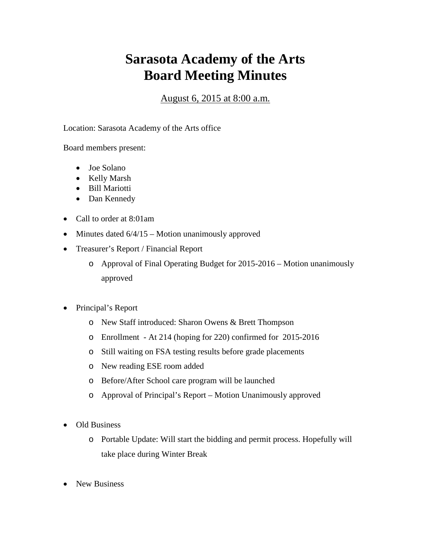## **Sarasota Academy of the Arts Board Meeting Minutes**

August 6, 2015 at 8:00 a.m.

Location: Sarasota Academy of the Arts office

Board members present:

- Joe Solano
- Kelly Marsh
- Bill Mariotti
- Dan Kennedy
- Call to order at 8:01am
- Minutes dated  $6/4/15$  Motion unanimously approved
- Treasurer's Report / Financial Report
	- o Approval of Final Operating Budget for 2015-2016 Motion unanimously approved
- Principal's Report
	- o New Staff introduced: Sharon Owens & Brett Thompson
	- o Enrollment At 214 (hoping for 220) confirmed for 2015-2016
	- o Still waiting on FSA testing results before grade placements
	- o New reading ESE room added
	- o Before/After School care program will be launched
	- o Approval of Principal's Report Motion Unanimously approved
- Old Business
	- o Portable Update: Will start the bidding and permit process. Hopefully will take place during Winter Break
- New Business